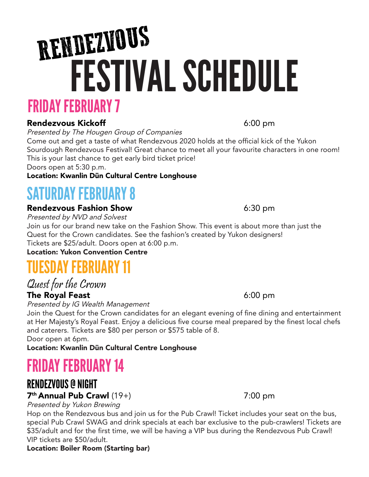# FRIDAY FEBRUARY 7 FESTIVAL SCHEDULE RENDEZVOUS

# Rendezvous Kickoff **6:00 pm**

Presented by The Hougen Group of Companies

Come out and get a taste of what Rendezvous 2020 holds at the official kick of the Yukon Sourdough Rendezvous Festival! Great chance to meet all your favourite characters in one room! This is your last chance to get early bird ticket price!

Doors open at 5:30 p.m.

# Location: Kwanlin Dün Cultural Centre Longhouse

# SATURDAY FEBRUARY 8

# Rendezvous Fashion Show **Example 2018** 6:30 pm

Presented by NVD and Solvest

Join us for our brand new take on the Fashion Show. This event is about more than just the Quest for the Crown candidates. See the fashion's created by Yukon designers! Tickets are \$25/adult. Doors open at 6:00 p.m.

Location: Yukon Convention Centre

# TUESDAY FEBRUARY 11

Quest for the Crown

# The Royal Feast **6:00 pm**

Presented by IG Wealth Management

Join the Quest for the Crown candidates for an elegant evening of fine dining and entertainment at Her Majesty's Royal Feast. Enjoy a delicious five course meal prepared by the finest local chefs and caterers. Tickets are \$80 per person or \$575 table of 8. Door open at 6pm.

Location: Kwanlin Dün Cultural Centre Longhouse

# FRIDAY FEBRUARY 14

# RENDEZVOUS @ NIGHT

# $7<sup>th</sup>$  Annual Pub Crawl  $(19+)$  7:00 pm

Presented by Yukon Brewing

Hop on the Rendezvous bus and join us for the Pub Crawl! Ticket includes your seat on the bus, special Pub Crawl SWAG and drink specials at each bar exclusive to the pub-crawlers! Tickets are \$35/adult and for the first time, we will be having a VIP bus during the Rendezvous Pub Crawl! VIP tickets are \$50/adult.

### Location: Boiler Room (Starting bar)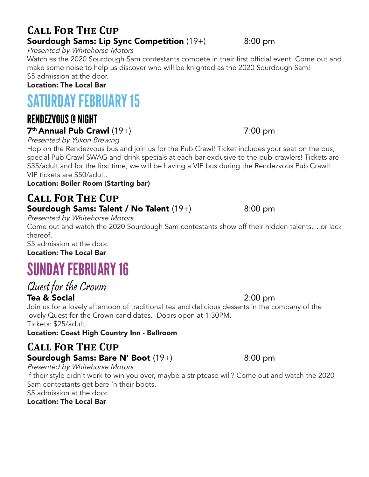# **Call For The Cup Sourdough Sams: Lip Sync Competition**  $(19+)$  8:00 pm

Presented by Whitehorse Motors

Watch as the 2020 Sourdough Sam contestants compete in their first official event. Come out and make some noise to help us discover who will be knighted as the 2020 Sourdough Sam! \$5 admission at the door.

#### Location: The Local Bar

# SATURDAY FEBRUARY 15

# RENDEZVOUS @ NIGHT  $7<sup>th</sup>$  Annual Pub Crawl  $(19+)$  7:00 pm

Presented by Yukon Brewing

Hop on the Rendezvous bus and join us for the Pub Crawl! Ticket includes your seat on the bus, special Pub Crawl SWAG and drink specials at each bar exclusive to the pub-crawlers! Tickets are \$35/adult and for the first time, we will be having a VIP bus during the Rendezvous Pub Crawl! VIP tickets are \$50/adult.

#### Location: Boiler Room (Starting bar)

# **Call For The Cup Sourdough Sams: Talent / No Talent**  $(19+)$  8:00 pm

Presented by Whitehorse Motors

Come out and watch the 2020 Sourdough Sam contestants show off their hidden talents… or lack thereof.

\$5 admission at the door.

Location: The Local Bar

# SUNDAY FEBRUARY 16

## Quest for the Crown Tea & Social 2:00 pm

Join us for a lovely afternoon of traditional tea and delicious desserts in the company of the lovely Quest for the Crown candidates. Doors open at 1:30PM. Tickets: \$25/adult.

Location: Coast High Country Inn - Ballroom

# **Call For The Cup Sourdough Sams: Bare N' Boot** (19+) 8:00 pm

Presented by Whitehorse Motors

If their style didn't work to win you over, maybe a striptease will? Come out and watch the 2020 Sam contestants get bare 'n their boots.

\$5 admission at the door.

Location: The Local Bar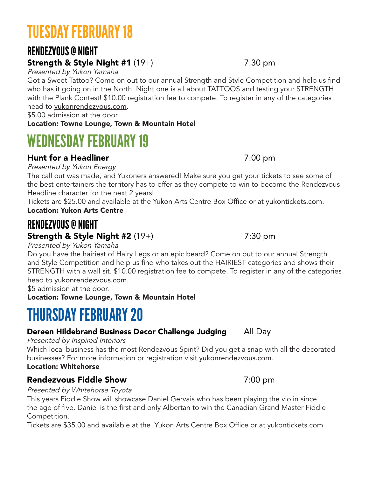# TUESDAY FEBRUARY 18

# RENDEZVOUS @ NIGHT

# Strength & Style Night #1 (19+) 7:30 pm

Presented by Yukon Yamaha

Got a Sweet Tattoo? Come on out to our annual Strength and Style Competition and help us find who has it going on in the North. Night one is all about TATTOOS and testing your STRENGTH with the Plank Contest! \$10.00 registration fee to compete. To register in any of the categories head to yukonrendezvous.com.

\$5.00 admission at the door.

Location: Towne Lounge, Town & Mountain Hotel

# WEDNESDAY FEBRUARY 19

# Hunt for a Headliner and the state of  $7:00 \text{ pm}$

Presented by Yukon Energy

The call out was made, and Yukoners answered! Make sure you get your tickets to see some of the best entertainers the territory has to offer as they compete to win to become the Rendezvous Headline character for the next 2 years!

Tickets are \$25.00 and available at the Yukon Arts Centre Box Office or at yukontickets.com. Location: Yukon Arts Centre

# RENDEZVOUS @ NIGHT Strength & Style Night #2 (19+) 7:30 pm

Presented by Yukon Yamaha

Do you have the hairiest of Hairy Legs or an epic beard? Come on out to our annual Strength and Style Competition and help us find who takes out the HAIRIEST categories and shows their STRENGTH with a wall sit. \$10.00 registration fee to compete. To register in any of the categories head to yukonrendezvous.com.

\$5 admission at the door.

Location: Towne Lounge, Town & Mountain Hotel

# THURSDAY FEBRUARY 20

# Dereen Hildebrand Business Decor Challenge Judging All Day

Presented by Inspired Interiors

Which local business has the most Rendezvous Spirit? Did you get a snap with all the decorated businesses? For more information or registration visit yukonrendezvous.com.

### Location: Whitehorse

# Rendezvous Fiddle Show **7:00 pm**

Presented by Whitehorse Toyota

This years Fiddle Show will showcase Daniel Gervais who has been playing the violin since the age of five. Daniel is the first and only Albertan to win the Canadian Grand Master Fiddle Competition.

Tickets are \$35.00 and available at the Yukon Arts Centre Box Office or at yukontickets.com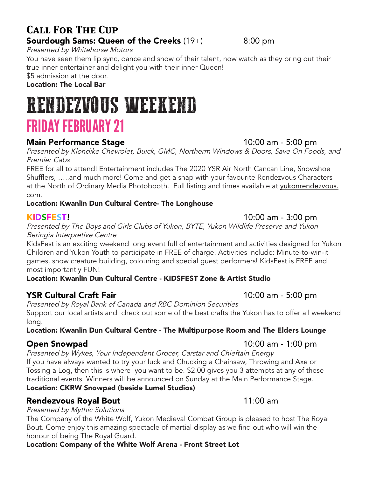# **Call For The Cup Sourdough Sams: Queen of the Creeks** (19+) 8:00 pm

Presented by Whitehorse Motors

You have seen them lip sync, dance and show of their talent, now watch as they bring out their true inner entertainer and delight you with their inner Queen!

\$5 admission at the door.

Location: The Local Bar

# RENDEZVOUS WEEKEND FRIDAY FEBRUARY 21

### Main Performance Stage 10:00 am - 5:00 pm

Presented by Klondike Chevrolet, Buick, GMC, Northerm Windows & Doors, Save On Foods, and Premier Cabs

FREE for all to attend! Entertainment includes The 2020 YSR Air North Cancan Line, Snowshoe Shufflers, …..and much more! Come and get a snap with your favourite Rendezvous Characters at the North of Ordinary Media Photobooth. Full listing and times available at yukonrendezvous. com.

### Location: Kwanlin Dun Cultural Centre- The Longhouse

Presented by The Boys and Girls Clubs of Yukon, BYTE, Yukon Wildlife Preserve and Yukon Beringia Interpretive Centre

KidsFest is an exciting weekend long event full of entertainment and activities designed for Yukon Children and Yukon Youth to participate in FREE of charge. Activities include: Minute-to-win-it games, snow creature building, colouring and special guest performers! KidsFest is FREE and most importantly FUN!

#### Location: Kwanlin Dun Cultural Centre - KIDSFEST Zone & Artist Studio

## **YSR Cultural Craft Fair** 10:00 am - 5:00 pm

Presented by Royal Bank of Canada and RBC Dominion Securities Support our local artists and check out some of the best crafts the Yukon has to offer all weekend long.

#### Location: Kwanlin Dun Cultural Centre - The Multipurpose Room and The Elders Lounge

### **Open Snowpad** 10:00 am - 1:00 pm

Presented by Wykes, Your Independent Grocer, Carstar and Chieftain Energy If you have always wanted to try your luck and Chucking a Chainsaw, Throwing and Axe or Tossing a Log, then this is where you want to be. \$2.00 gives you 3 attempts at any of these traditional events. Winners will be announced on Sunday at the Main Performance Stage. Location: CKRW Snowpad (beside Lumel Studios)

### Rendezvous Royal Bout 11:00 am

#### Presented by Mythic Solutions

The Company of the White Wolf, Yukon Medieval Combat Group is pleased to host The Royal Bout. Come enjoy this amazing spectacle of martial display as we find out who will win the honour of being The Royal Guard.

Location: Company of the White Wolf Arena - Front Street Lot

KIDSFEST! 10:00 am - 3:00 pm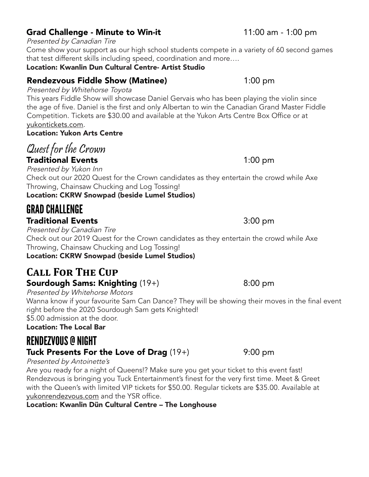# Grad Challenge - Minute to Win-it 11:00 am - 1:00 pm

### Presented by Canadian Tire

Come show your support as our high school students compete in a variety of 60 second games that test different skills including speed, coordination and more….

Location: Kwanlin Dun Cultural Centre- Artist Studio

# Rendezvous Fiddle Show (Matinee) 1:00 pm

## Presented by Whitehorse Toyota

This years Fiddle Show will showcase Daniel Gervais who has been playing the violin since the age of five. Daniel is the first and only Albertan to win the Canadian Grand Master Fiddle Competition. Tickets are \$30.00 and available at the Yukon Arts Centre Box Office or at yukontickets.com.

### Location: Yukon Arts Centre

# Quest for the Crown **Traditional Events** 1:00 pm

Presented by Yukon Inn Check out our 2020 Quest for the Crown candidates as they entertain the crowd while Axe Throwing, Chainsaw Chucking and Log Tossing!

Location: CKRW Snowpad (beside Lumel Studios)

# GRAD CHALLENGE

## **Traditional Events 1988 1988 1988 1988 1988 1988 1988 1988 1988 1988 1988 1988 1988 1988**

Presented by Canadian Tire

Check out our 2019 Quest for the Crown candidates as they entertain the crowd while Axe Throwing, Chainsaw Chucking and Log Tossing!

Location: CKRW Snowpad (beside Lumel Studios)

## **Call For The Cup** Sourdough Sams: Knighting (19+) 8:00 pm

Presented by Whitehorse Motors

Wanna know if your favourite Sam Can Dance? They will be showing their moves in the final event right before the 2020 Sourdough Sam gets Knighted!

\$5.00 admission at the door. Location: The Local Bar

# RENDEZVOUS @ NIGHT

# Tuck Presents For the Love of Drag  $(19+)$  9:00 pm

#### Presented by Antoinette's

Are you ready for a night of Queens!? Make sure you get your ticket to this event fast! Rendezvous is bringing you Tuck Entertainment's finest for the very first time. Meet & Greet with the Queen's with limited VIP tickets for \$50.00. Regular tickets are \$35.00. Available at yukonrendezvous.com and the YSR office.

Location: Kwanlin Dün Cultural Centre – The Longhouse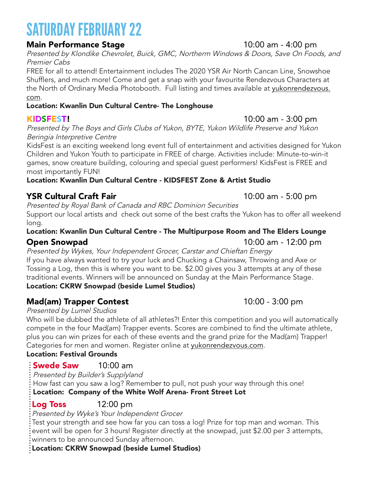# SATURDAY FEBRUARY 22

### **Main Performance Stage 10:00 am - 4:00 pm**

Presented by Klondike Chevrolet, Buick, GMC, Northerm Windows & Doors, Save On Foods, and Premier Cabs

FREE for all to attend! Entertainment includes The 2020 YSR Air North Cancan Line, Snowshoe Shufflers, and much more! Come and get a snap with your favourite Rendezvous Characters at the North of Ordinary Media Photobooth. Full listing and times available at yukonrendezvous. com.

#### Location: Kwanlin Dun Cultural Centre- The Longhouse

Presented by The Boys and Girls Clubs of Yukon, BYTE, Yukon Wildlife Preserve and Yukon Beringia Interpretive Centre

KidsFest is an exciting weekend long event full of entertainment and activities designed for Yukon Children and Yukon Youth to participate in FREE of charge. Activities include: Minute-to-win-it games, snow creature building, colouring and special guest performers! KidsFest is FREE and most importantly FUN!

Location: Kwanlin Dun Cultural Centre - KIDSFEST Zone & Artist Studio

# **YSR Cultural Craft Fair 10:00 am - 5:00 pm**

Presented by Royal Bank of Canada and RBC Dominion Securities Support our local artists and check out some of the best crafts the Yukon has to offer all weekend long.

### Location: Kwanlin Dun Cultural Centre - The Multipurpose Room and The Elders Lounge

## **Open Snowpad 10:00 am - 12:00 pm**

Presented by Wykes, Your Independent Grocer, Carstar and Chieftan Energy If you have always wanted to try your luck and Chucking a Chainsaw, Throwing and Axe or Tossing a Log, then this is where you want to be. \$2.00 gives you 3 attempts at any of these traditional events. Winners will be announced on Sunday at the Main Performance Stage.

# Location: CKRW Snowpad (beside Lumel Studios)

# **Mad(am) Trapper Contest** 10:00 - 3:00 pm

### Presented by Lumel Studios

Who will be dubbed the athlete of all athletes?! Enter this competition and you will automatically compete in the four Mad(am) Trapper events. Scores are combined to find the ultimate athlete, plus you can win prizes for each of these events and the grand prize for the Mad(am) Trapper! Categories for men and women. Register online at yukonrendezvous.com.

### Location: Festival Grounds

# **Swede Saw 10:00 am**

Presented by Builder's Supplyland

How fast can you saw a log? Remember to pull, not push your way through this one! Location: Company of the White Wolf Arena- Front Street Lot

# $Log Toss$  12:00 pm

Presented by Wyke's Your Independent Grocer

Test your strength and see how far you can toss a log! Prize for top man and woman. This event will be open for 3 hours! Register directly at the snowpad, just \$2.00 per 3 attempts, winners to be announced Sunday afternoon.

### Location: CKRW Snowpad (beside Lumel Studios)

## KIDSFEST! 10:00 am - 3:00 pm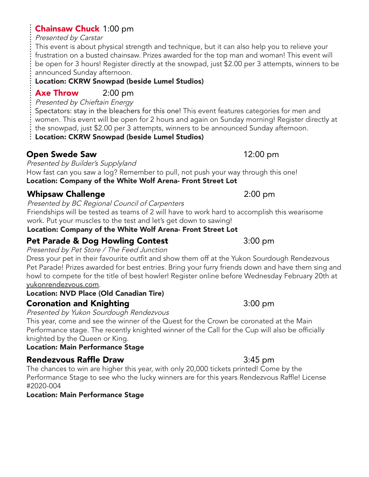# Chainsaw Chuck 1:00 pm

Presented by Carstar

This event is about physical strength and technique, but it can also help you to relieve your frustration on a busted chainsaw. Prizes awarded for the top man and woman! This event will be open for 3 hours! Register directly at the snowpad, just \$2.00 per 3 attempts, winners to be announced Sunday afternoon.

## Location: CKRW Snowpad (beside Lumel Studios)

# **Axe Throw** 2:00 pm

Presented by Chieftain Energy

Spectators: stay in the bleachers for this one! This event features categories for men and women. This event will be open for 2 hours and again on Sunday morning! Register directly at the snowpad, just \$2.00 per 3 attempts, winners to be announced Sunday afternoon.

Location: CKRW Snowpad (beside Lumel Studios)

# Open Swede Saw 12:00 pm

Presented by Builder's Supplyland How fast can you saw a log? Remember to pull, not push your way through this one! Location: Company of the White Wolf Arena- Front Street Lot

# **Whipsaw Challenge** 2:00 pm

Presented by BC Regional Council of Carpenters

Friendships will be tested as teams of 2 will have to work hard to accomplish this wearisome work. Put your muscles to the test and let's get down to sawing!

Location: Company of the White Wolf Arena- Front Street Lot

# **Pet Parade & Dog Howling Contest 1988** 3:00 pm

Presented by Pet Store / The Feed Junction

Dress your pet in their favourite outfit and show them off at the Yukon Sourdough Rendezvous Pet Parade! Prizes awarded for best entries. Bring your furry friends down and have them sing and howl to compete for the title of best howler! Register online before Wednesday February 20th at yukonrendezvous.com.

# Location: NVD Place (Old Canadian Tire)

# Coronation and Knighting 3:00 pm

Presented by Yukon Sourdough Rendezvous

This year, come and see the winner of the Quest for the Crown be coronated at the Main Performance stage. The recently knighted winner of the Call for the Cup will also be officially knighted by the Queen or King.

# Location: Main Performance Stage

# Rendezvous Raffle Draw **3:45 pm**

The chances to win are higher this year, with only 20,000 tickets printed! Come by the Performance Stage to see who the lucky winners are for this years Rendezvous Raffle! License #2020-004

# Location: Main Performance Stage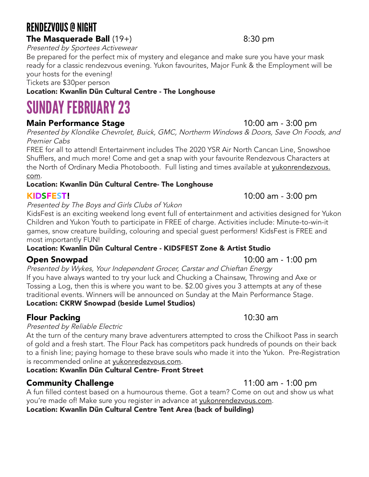# RENDEZVOUS @ NIGHT **The Masquerade Ball**  $(19+)$  8:30 pm

Presented by Sportees Activewear

Be prepared for the perfect mix of mystery and elegance and make sure you have your mask ready for a classic rendezvous evening. Yukon favourites, Major Funk & the Employment will be your hosts for the evening!

Tickets are \$30per person

### Location: Kwanlin Dün Cultural Centre - The Longhouse

# SUNDAY FEBRUARY 23

## **Main Performance Stage 10:00 am - 3:00 pm**

Presented by Klondike Chevrolet, Buick, GMC, Northerm Windows & Doors, Save On Foods, and Premier Cabs

FREE for all to attend! Entertainment includes The 2020 YSR Air North Cancan Line, Snowshoe Shufflers, and much more! Come and get a snap with your favourite Rendezvous Characters at the North of Ordinary Media Photobooth. Full listing and times available at yukonrendezvous. com.

#### Location: Kwanlin Dün Cultural Centre- The Longhouse

#### KIDSFEST! 10:00 am - 3:00 pm

#### Presented by The Boys and Girls Clubs of Yukon

KidsFest is an exciting weekend long event full of entertainment and activities designed for Yukon Children and Yukon Youth to participate in FREE of charge. Activities include: Minute-to-win-it games, snow creature building, colouring and special guest performers! KidsFest is FREE and most importantly FUN!

#### Location: Kwanlin Dün Cultural Centre - KIDSFEST Zone & Artist Studio

Presented by Wykes, Your Independent Grocer, Carstar and Chieftan Energy If you have always wanted to try your luck and Chucking a Chainsaw, Throwing and Axe or Tossing a Log, then this is where you want to be. \$2.00 gives you 3 attempts at any of these traditional events. Winners will be announced on Sunday at the Main Performance Stage. Location: CKRW Snowpad (beside Lumel Studios)

## Flour Packing **10:30 am**

#### Presented by Reliable Electric

At the turn of the century many brave adventurers attempted to cross the Chilkoot Pass in search of gold and a fresh start. The Flour Pack has competitors pack hundreds of pounds on their back to a finish line; paying homage to these brave souls who made it into the Yukon. Pre-Registration is recommended online at yukonredezvous.com.

#### Location: Kwanlin Dün Cultural Centre- Front Street

## **Community Challenge** 11:00 am - 1:00 pm

A fun filled contest based on a humourous theme. Got a team? Come on out and show us what you're made of! Make sure you register in advance at yukonrendezvous.com.

### Location: Kwanlin Dün Cultural Centre Tent Area (back of building)

## **Open Snowpad** 10:00 am - 1:00 pm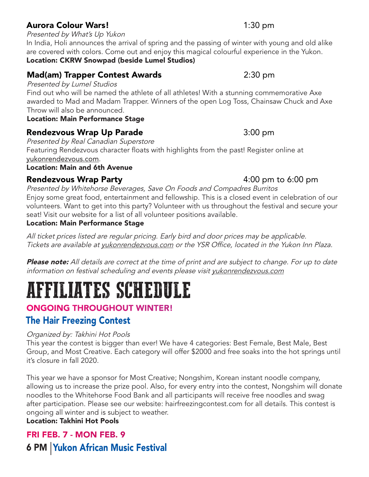# Aurora Colour Wars! 1:30 pm

Presented by What's Up Yukon

In India, Holi announces the arrival of spring and the passing of winter with young and old alike are covered with colors. Come out and enjoy this magical colourful experience in the Yukon. Location: CKRW Snowpad (beside Lumel Studios)

## **Mad(am) Trapper Contest Awards** 2:30 pm

Presented by Lumel Studios

Find out who will be named the athlete of all athletes! With a stunning commemorative Axe awarded to Mad and Madam Trapper. Winners of the open Log Toss, Chainsaw Chuck and Axe Throw will also be announced.

#### Location: Main Performance Stage

## Rendezvous Wrap Up Parade **1988** 3:00 pm

Presented by Real Canadian Superstore Featuring Rendezvous character floats with highlights from the past! Register online at yukonrendezvous.com.

Location: Main and 6th Avenue

## Rendezvous Wrap Party **Automatic Executive Contract Automatic Properties** 4:00 pm to 6:00 pm

Presented by Whitehorse Beverages, Save On Foods and Compadres Burritos Enjoy some great food, entertainment and fellowship. This is a closed event in celebration of our volunteers. Want to get into this party? Volunteer with us throughout the festival and secure your seat! Visit our website for a list of all volunteer positions available.

#### Location: Main Performance Stage

All ticket prices listed are regular pricing. Early bird and door prices may be applicable. Tickets are available at yukonrendezvous.com or the YSR Office, located in the Yukon Inn Plaza.

**Please note:** All details are correct at the time of print and are subject to change. For up to date information on festival scheduling and events please visit yukonrendezvous.com

# AFFILIATES SCHEDULE

# ONGOING THROUGHOUT WINTER!

# The Hair Freezing Contest

#### Organized by: Takhini Hot Pools

This year the contest is bigger than ever! We have 4 categories: Best Female, Best Male, Best Group, and Most Creative. Each category will offer \$2000 and free soaks into the hot springs until it's closure in fall 2020.

This year we have a sponsor for Most Creative; Nongshim, Korean instant noodle company, allowing us to increase the prize pool. Also, for every entry into the contest, Nongshim will donate noodles to the Whitehorse Food Bank and all participants will receive free noodles and swag after participation. Please see our website: hairfreezingcontest.com for all details. This contest is ongoing all winter and is subject to weather.

#### Location: Takhini Hot Pools

# FRI FEB. 7 - MON FEB. 9 **6 PM Yukon African Music Festival**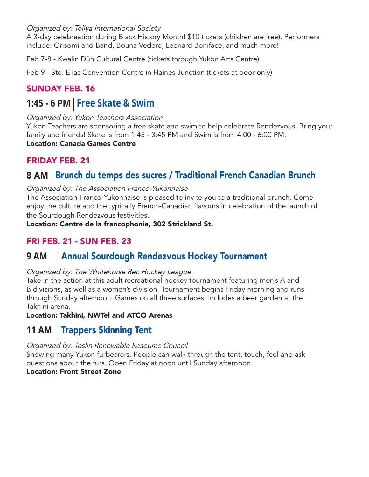Organized by: Teliya International Society

A 3-day celebreation during Black History Month! \$10 tickets (children are free). Performers include: Orisomi and Band, Bouna Vedere, Leonard Boniface, and much more!

Feb 7-8 - Kwalin Dün Cultural Centre (tickets through Yukon Arts Centre)

Feb 9 - Ste. Elias Convention Centre in Haines Junction (tickets at door only)

## SUNDAY FEB. 16

# **1:45 - 6 PM Free Skate & Swim**

Organized by: Yukon Teachers Association

Yukon Teachers are sponsoring a free skate and swim to help celebrate Rendezvous! Bring your family and friends! Skate is from 1:45 - 3:45 PM and Swim is from 4:00 - 6:00 PM.

Location: Canada Games Centre

## FRIDAY FEB. 21

# 8 AM Brunch du temps des sucres / Traditional French Canadian Brunch

#### Organized by: The Association Franco-Yukonnaise

The Association Franco-Yukonnaise is pleased to invite you to a traditional brunch. Come enjoy the culture and the typically French-Canadian flavours in celebration of the launch of the Sourdough Rendezvous festivities.

Location: Centre de la francophonie, 302 Strickland St.

## FRI FEB. 21 - SUN FEB. 23

#### Annual Sourdough Rendezvous Hockey Tournament **9 AM**

#### Organized by: The Whitehorse Rec Hockey League

Take in the action at this adult recreational hockey tournament featuring men's A and B divisions, as well as a women's division. Tournament begins Friday morning and runs through Sunday afternoon. Games on all three surfaces. Includes a beer garden at the Takhini arena.

Location: Takhini, NWTel and ATCO Arenas

# 11 AM | Trappers Skinning Tent

Organized by: Teslin Renewable Resource Council

Showing many Yukon furbearers. People can walk through the tent, touch, feel and ask questions about the furs. Open Friday at noon until Sunday afternoon.

#### Location: Front Street Zone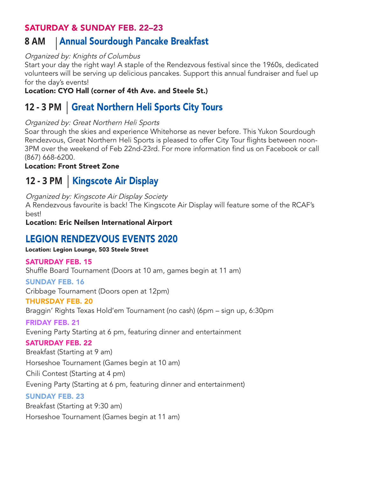### SATURDAY & SUNDAY FEB. 22–23

#### Annual Sourdough Pancake Breakfast **8 AM**

#### Organized by: Knights of Columbus

Start your day the right way! A staple of the Rendezvous festival since the 1960s, dedicated volunteers will be serving up delicious pancakes. Support this annual fundraiser and fuel up for the day's events!

Location: CYO Hall (corner of 4th Ave. and Steele St.)

# 12 - 3 PM | Great Northern Heli Sports City Tours

#### Organized by: Great Northern Heli Sports

Soar through the skies and experience Whitehorse as never before. This Yukon Sourdough Rendezvous, Great Northern Heli Sports is pleased to offer City Tour flights between noon-3PM over the weekend of Feb 22nd-23rd. For more information find us on Facebook or call (867) 668-6200.

Location: Front Street Zone

# 12 - 3 PM | Kingscote Air Display

Organized by: Kingscote Air Display Society

A Rendezvous favourite is back! The Kingscote Air Display will feature some of the RCAF's best!

Location: Eric Neilsen International Airport

# LEGION RENDEZVOUS EVENTS 2020

#### Location: Legion Lounge, 503 Steele Street

#### SATURDAY FEB. 15

Shuffle Board Tournament (Doors at 10 am, games begin at 11 am)

#### SUNDAY FEB. 16

Cribbage Tournament (Doors open at 12pm)

#### THURSDAY FEB. 20

Braggin' Rights Texas Hold'em Tournament (no cash) (6pm – sign up, 6:30pm

#### FRIDAY FEB. 21

Evening Party Starting at 6 pm, featuring dinner and entertainment

#### SATURDAY FEB. 22

Breakfast (Starting at 9 am)

Horseshoe Tournament (Games begin at 10 am)

Chili Contest (Starting at 4 pm)

Evening Party (Starting at 6 pm, featuring dinner and entertainment)

#### SUNDAY FEB. 23

Breakfast (Starting at 9:30 am)

Horseshoe Tournament (Games begin at 11 am)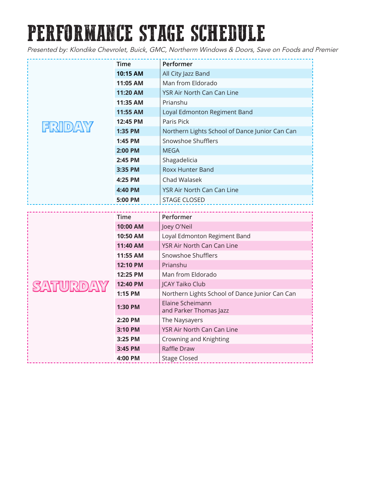# PERFORMANCE STAGE SCHEDULE

Presented by: Klondike Chevrolet, Buick, GMC, Northerm Windows & Doors, Save on Foods and Premier

| FRIDAY  | Time        | Performer                                      |  |
|---------|-------------|------------------------------------------------|--|
|         | 10:15 AM    | All City Jazz Band                             |  |
|         | 11:05 AM    | Man from Eldorado                              |  |
|         | 11:20 AM    | YSR Air North Can Can Line                     |  |
|         | 11:35 AM    | Prianshu                                       |  |
|         | 11:55 AM    | Loyal Edmonton Regiment Band                   |  |
|         | 12:45 PM    | Paris Pick                                     |  |
|         | 1:35 PM     | Northern Lights School of Dance Junior Can Can |  |
|         | 1:45 PM     | Snowshoe Shufflers                             |  |
|         | 2:00 PM     | <b>MFGA</b>                                    |  |
|         | 2:45 PM     | Shagadelicia                                   |  |
|         | 3:35 PM     | <b>Roxx Hunter Band</b>                        |  |
|         | 4:25 PM     | Chad Walasek                                   |  |
|         | 4:40 PM     | YSR Air North Can Can Line                     |  |
|         | 5:00 PM     | <b>STAGE CLOSED</b>                            |  |
|         |             |                                                |  |
|         |             |                                                |  |
|         | <b>Time</b> | Performer                                      |  |
|         | 10:00 AM    | Joey O'Neil                                    |  |
|         | 10:50 AM    | Loyal Edmonton Regiment Band                   |  |
|         | 11:40 AM    | <b>YSR Air North Can Can Line</b>              |  |
|         | 11:55 AM    | Snowshoe Shufflers                             |  |
|         | 12:10 PM    | Prianshu                                       |  |
|         | 12:25 PM    | Man from Eldorado                              |  |
| SATURDA | 12:40 PM    | <b>JCAY Taiko Club</b>                         |  |
|         | 1:15 PM     | Northern Lights School of Dance Junior Can Can |  |
|         | 1:30 PM     | Elaine Scheimann<br>and Parker Thomas Jazz     |  |
|         | 2:20 PM     | The Naysayers                                  |  |
|         | 3:10 PM     | YSR Air North Can Can Line                     |  |
|         | 3:25 PM     | Crowning and Knighting                         |  |
|         | 3:45 PM     | Raffle Draw                                    |  |